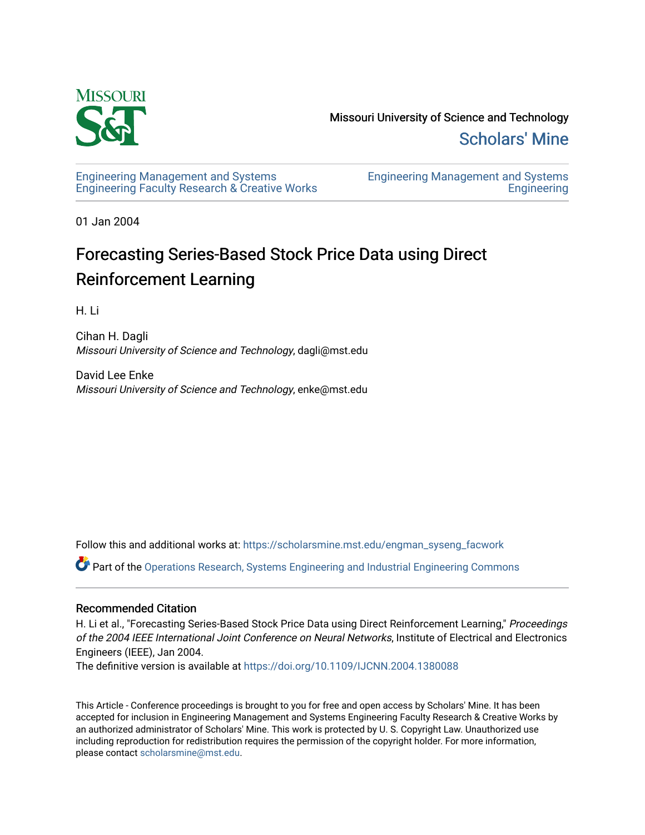

Missouri University of Science and Technology [Scholars' Mine](https://scholarsmine.mst.edu/) 

[Engineering Management and Systems](https://scholarsmine.mst.edu/engman_syseng_facwork)  [Engineering Faculty Research & Creative Works](https://scholarsmine.mst.edu/engman_syseng_facwork) [Engineering Management and Systems](https://scholarsmine.mst.edu/engman_syseng)  **Engineering** 

01 Jan 2004

# Forecasting Series-Based Stock Price Data using Direct Reinforcement Learning

H. Li

Cihan H. Dagli Missouri University of Science and Technology, dagli@mst.edu

David Lee Enke Missouri University of Science and Technology, enke@mst.edu

Follow this and additional works at: [https://scholarsmine.mst.edu/engman\\_syseng\\_facwork](https://scholarsmine.mst.edu/engman_syseng_facwork?utm_source=scholarsmine.mst.edu%2Fengman_syseng_facwork%2F196&utm_medium=PDF&utm_campaign=PDFCoverPages) 

Part of the [Operations Research, Systems Engineering and Industrial Engineering Commons](http://network.bepress.com/hgg/discipline/305?utm_source=scholarsmine.mst.edu%2Fengman_syseng_facwork%2F196&utm_medium=PDF&utm_campaign=PDFCoverPages)

# Recommended Citation

H. Li et al., "Forecasting Series-Based Stock Price Data using Direct Reinforcement Learning," Proceedings of the 2004 IEEE International Joint Conference on Neural Networks, Institute of Electrical and Electronics Engineers (IEEE), Jan 2004.

The definitive version is available at <https://doi.org/10.1109/IJCNN.2004.1380088>

This Article - Conference proceedings is brought to you for free and open access by Scholars' Mine. It has been accepted for inclusion in Engineering Management and Systems Engineering Faculty Research & Creative Works by an authorized administrator of Scholars' Mine. This work is protected by U. S. Copyright Law. Unauthorized use including reproduction for redistribution requires the permission of the copyright holder. For more information, please contact [scholarsmine@mst.edu.](mailto:scholarsmine@mst.edu)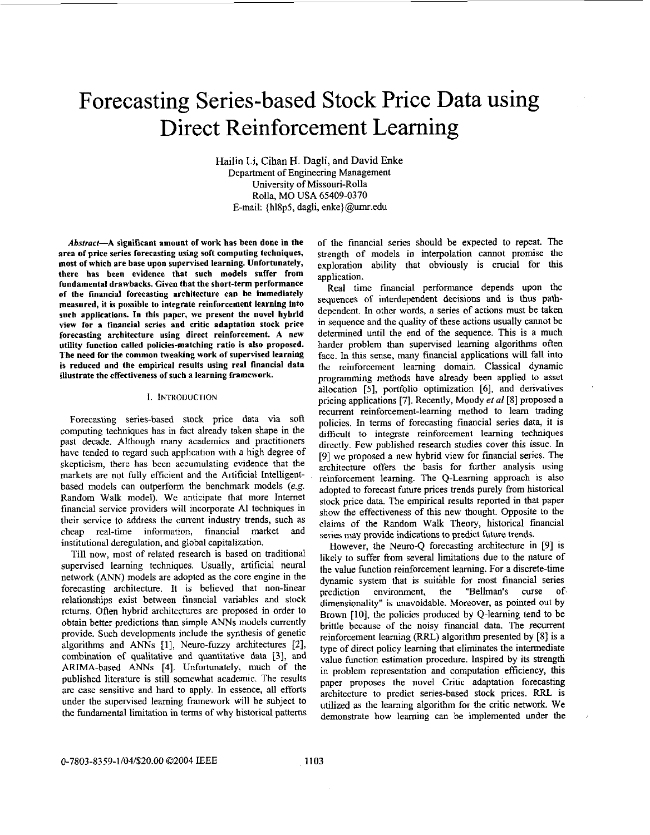# Forecasting Series-based Stock Price Data using Direct Reinforcement Learning

Hailin Li, Cihan H. Dagli, and David Enke Department of Engineering Management University of Missouri-Rolla Rolla, MO USA 65409-0370 E-mail {h18p5, dagli, [enke\]@umr.edu](mailto:enke]@umr.edu)

Abstract-A significant amount of work has been done in the area of price series forecasting using soft computing techniques, most of which are base upon supervised learning. Unfortunately, there has been evidence that such models suffer from fundamental drawbacks. Given that the short-term performance of the financial forecasting architecture can he immediately measured, it is possible **to** integrate reinforcement learning into such applications. In this paper, we present the novel hybrid view for a financial series and critic adaptation stock price forecasting architecture using direct reinforcement. A new utility function called policies-matching ratio is also proposed. The need for the common tweaking work of supervised learning is reduced and the empirical results using real financial data illustrate the effectiveness of such a learning framework.

### **1. INTRODUCTION**

Forecasting series-based stock price data via soft computing techniques has in fact already taken shape in the past decade. Although many academics and practitioners have tended to regard such application with a high degree of skepticism, there has been accumulating evidence that the markets are not fully efficient and the Artificial Intelligentbased models can outperform the benchmark models (e.g. Random Walk model). We anticipate that more Internet financial service providers will incorporate AI techniques in their service to address the current industry trends, such as cheap real-time information, financial market and institutional deregulation, and global capitalization.

Till now, most of related research is based on traditional supervised learning techniques. Usually, artificial neural network (ANN) models are adopted as the core engine in the forecasting architecture. It is believed that non-linear relationships exist between financial variables and stock returns. Often hybrid architectures are proposed in order to obtain better predictions than simple *ANNs* models currently provide. Such developments include the synthesis of genetic algorithms and ANNs [I], Neuro-fuzzy architectures [Z], combination of qualitative and quantitative data [3], and ARIMA-based ANNs [4]. Unfortunately, much of the published literature is still somewhat academic. The results are case sensitive and hard to apply. In essence, all efforts under the supervised learning framework will he subject to the fundamental limitation in terms of why historical patterns

of the financial series should be expected to repeat. The strength of models in interpolation cannot promise the exploration ability that obviously is crucial for this application.

Real time financial performance depends upon the sequences of interdependent decisions and is thus pathdependent. In other words, a series of actions must be taken in sequence and the quality of these actions usually cannot be determined until the end of the sequence. This is a much harder problem than supervised learning algorithms often face. In this sense, many financial applications will fall into the reinforcement learning domain. Classical dynamic programming methods have already been applied to asset allocation [5], portfolio optimization **[6],** and derivatives pricing applications [7]. Recently, Moody *eta1* **[8]** proposed a recurrent reinforcement-learning method to learn trading policies. In terms of forecasting financial series data, it is dificult to integrate reinforcement learning techniques directly. Few published research studies cover this issue. In [9] we proposed a new hybrid view for fmancial series. The architecture offers the basis for further analysis using reinforcement learning. The Q-Learning approach is also adopted to forecast future prices trends purely from historical stock price data. The empirical results reported in that paper show the effectiveness of this new thought. Opposite to the claims of the Random Walk Theory, historical fmancial series may provide indications to predict future trends.

However, the Neuro-Q forecasting architecture in [9] is likely to suffer from several limitations due to the nature of the value function reinforcement learning. For a discrete-time dynamic system that is suitable for most financial series<br>prediction environment, the "Bellman's curse of prediction environment, the "Bellman's curse of dimensionality" is unavoidable. Moreover, as pointed out by Brown [IO], the policies produced by Q-learning tend to he brittle because of the noisy financial data. The recurrent reinforcement learning (RRL) algorithm presented by **[8]** is a type of direct policy learning that eliminates the intermediate value function estimation procedure. Inspired by its strength in problem representation and computation efficiency, this paper proposes the novel Critic adaptation forecasting architecture to predict series-based stock prices. RFU is utilized as the learning algorithm for the critic network. We demonstrate how learning *can* be implemented under the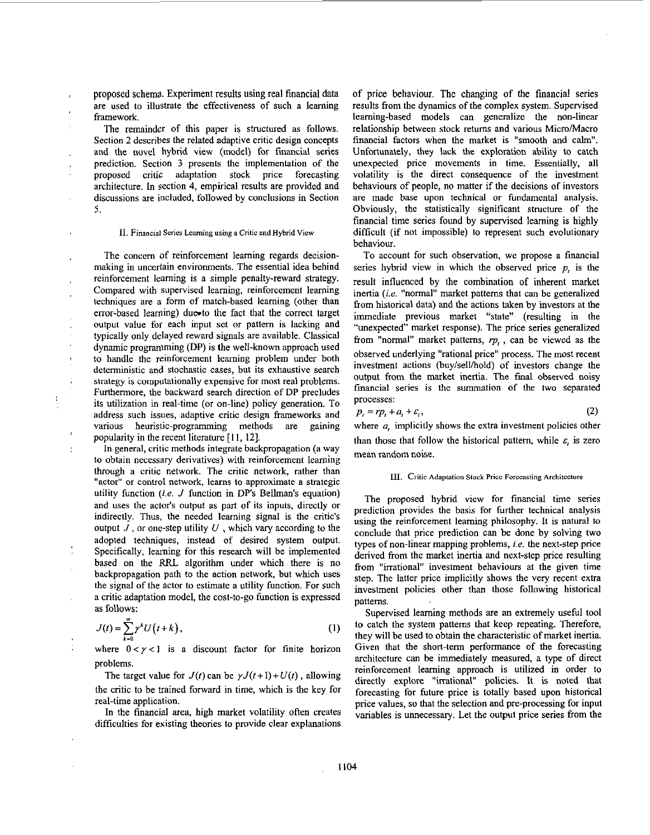proposed schema. Experiment results using real financial data are used to illustrate the effectiveness of such a learning framework.

The remainder of this paper is structured as follows. Section **2** describes the related adaptive critic design concepts and the novel hybrid view (model) for financial series prediction. Section **3** presents the implementation of the proposed critic adaptation stock price forecasting architecture. In section **4,** empirical results are provided and discussions are included, followed by conclusions in Section 5.

#### 11. Financial Series **Lcaming** using **B** Critic **and** Hybrid View

The concern of reinforcement learning regards decisionmaking in uncertain environments. The essential idea behind reinforcement learning is a simple penalty-reward strategy. Compared with supervised learning, reinforcement learning techniques are a form of match-based learning (other than  $error-based learning)$  due to the fact that the correct target output value for each input set or pattern is lacking and typically only delayed reward signals are available. Classical dynamic programming **(DP)** is the well-known approach used to handle the reinforcement learning problem under both deterministic and stochastic cases, but its exhaustive search strategy is computationally expensive for most real problems. Furthermore, the backward search direction of DP precludes its utilization in real-time (or on-line) policy generation. To address such issues, adaptive critic design frameworks and various heuristic-programming methods are gaining popularity in the recent literature [ 11, 121.

In general, critic methods integrate backpropagation (a way to obtain necessary derivatives) with reinforcement learning through a critic network. The critic network, rather than "actor" or control network, learns to approximate a strategic utility function *(i.e. J* function in **DP's** Bellman's equation) and uses the actor's output as part of its inputs, directly or indirectly. Thus, the needed learning signal is the critic's output *J* , or one-step utility *<sup>U</sup>*, which vary according to the adopted techniques, instead of desired system output. Specifically, learning for this research will be implemented based on the RRL algorithm under which there is no backpropagation path to the action network, but which uses the signal of the actor to estimate a utility function. For such a critic adaptation model, the cost-to-go function is expressed **as** follows:

$$
J(t) = \sum_{k=0}^{\infty} \gamma^k U(t+k), \qquad (1)
$$

where  $0 < y < 1$  is a discount factor for finite horizon problems.

The target value for  $J(t)$  can be  $\gamma J(t+1)+U(t)$ , allowing the critic to be trained forward in time, which is the key for real-time application.

In the financial area, high market volatility often creates difficulties for existing theories to provide clear explanations of price behaviour. The changing of the financial series results from the dynamics of the complex system. Supervised learning-based models can generalize the non-linear relationship between stock returns and various Micro/Macro financial factors when the market is "smooth and calm". Unfortunately, they lack **the** exploration ability to catch unexpected price movements in time. Essentially, all volatility is the direct consequence of the investment behaviours of people, no matter if the decisions of investors are made base upon technical or fundamental analysis. Obviously, the statistically significant structure of the financial time series found by supervised learning is highly difficult (if not impossible) to represent such evolutionary behaviour.

To account for such observation, we propose a financial series hybrid view in which the observed price *p,* is the result influenced by the combination of inherent market inertia *(i.e.* "normal" market patterns that can be generalized from historical data) and the actions taken by investors at the immediate previous market "state" (resulting in the "unexpected" market response). The price series generalized from "normal" market patterns,  $rp<sub>t</sub>$ , can be viewed as the observed underlying "rational price" process. The most recent investment actions (buy/sell/hold) of investors change the output from the market inertia. The final observed noisy financial series is the summation of the two separated processes:

$$
p_t = rp_t + a_t + \varepsilon_t,\tag{2}
$$

where *a*, implicitly shows the extra investment policies other than those that follow the historical pattern, while *E,* is zero mean random noise.

## **111.** Crilic **Adaptation Stock Pricc Forccasting Architcchlre**

The proposed hybrid view for financial time series prediction provides the hasis for further technical analysis using the reinforcement learning philosophy. It is natural to conclude that price prediction can be done by solving two types of non-linear mapping problems, **i.e.** the next-step price derived from the market inertia and next-step price resulting from "irrational" investment behaviours at the given time step. The latter price implicitly shows the very recent extra investment policies other than those following historical patterns.

Supervised learning methods are an extremely useful tool to catch the system patterns that keep repeating. Therefore, they will be used to obtain the characteristic of market inertia. Given that the short-term performance of the forecasting architecture can be immediately measured, a type of direct reinforcement learning approach is utilized in order to directly explore "irrational" policies. It **is** noted that forecasting for future price is totally based upon historical price values, so that the selection and pre-processing for input variables is unnecessary. Let the output price series from the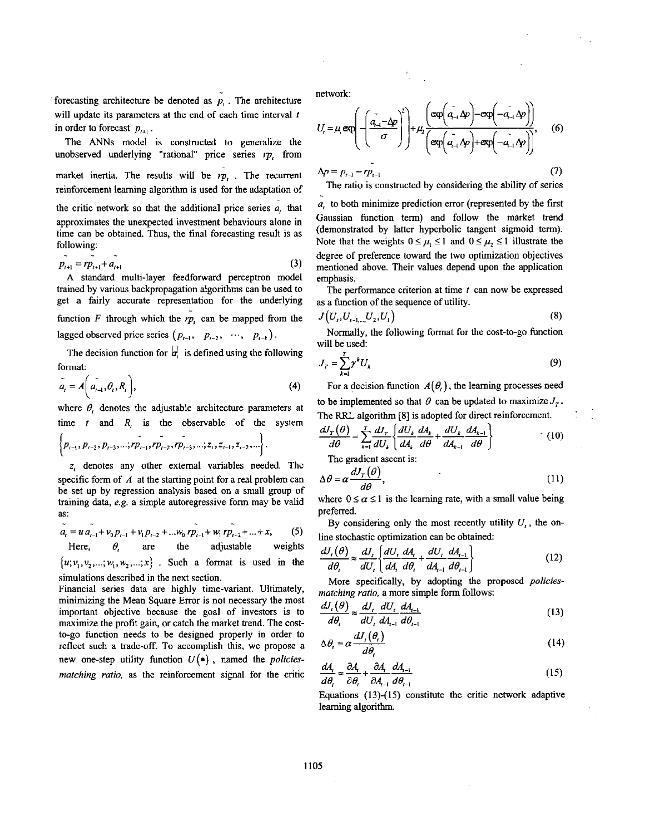forecasting architecture be denoted as  $\tilde{p}_t$ . The architecture will update its parameters at the end of each time interval *<sup>f</sup>* in order to forecast  $p_{n+1}$ .

unobserved underlying "rational" price series 
$$
rp_i
$$
 from market inertia. The results will be  $rp_i$ . The recurrent reinforcement learning algorithm is used for the adaptation of

The **ANNs** model is constructed to generalize the

the critic network *so* that the additional price series *a,* that approximates the unexpected investment behaviours alone in time can be obtained. Thus, the final forecasting result is as following:  $\sim$   $\sim$   $\sim$ 

$$
p_{t+1} = rp_{t+1} + a_{t+1} \tag{3}
$$

A standard multi-layer feedforward perceptron model trained by various backpropagation algorithms can be used to get a fairly accurate representation for the underlying function *F* through which the *rp,* can be mapped from the lagged observed price series  $(p_{t-1}, p_{t-2}, \dots, p_{t-k})$ .

The decision function for  $\overline{a}$ , is defined using the following format:

$$
\tilde{a}_t = A\left(\tilde{a_{t-1}}, \theta_t, R_t\right),\tag{4}
$$

where  $\theta$ , denotes the adjustable architecture parameters at

time *t* and 
$$
R_i
$$
 is the observable of the system  
\n
$$
\left\{p_{i-1}, p_{i-2}, p_{i-3}, \dots, rp_{i-1}, rp_{i-2}, rp_{i-3}, \dots; z_i, z_{i-1}, z_{i-2}, \dots\right\}.
$$

*2;* denotes any other external variables needed. The specific form of A at the starting point for a real problem can be set up by regression analysis based on a small group of training data, *e.g.* a simple autoregressive form may be valid **as:**  - - -

$$
\tilde{a}_{t} = u \tilde{a}_{t-1} + v_0 p_{t-1} + v_1 p_{t-2} + \dots w_0 r \tilde{p}_{t-1} + w_1 r \tilde{p}_{t-2} + \dots + x, \qquad (5)
$$
  
Here,  $\theta$ , are the adjustable weights

 $\{u; v_1, v_2, \ldots; w_1, w_2, \ldots; x\}$ . Such a format is used in the simulations described in the next section.

Financial series data are highly time-variant. Ultimately, minimizing the Mean Square Error is not necessary the most important objective because the goal of investors is to maximize the profit gain, or catch the market trend. The costto-go function needs to be designed properly in order to reflect such a trade-off. To accomplish this, we propose a new one-step utility function *U(\*)* , named the *policiesmatching ratio,* as the reinforcement signal for the critic network

$$
U_{r} = \mu_{r} \exp\left(-\left(\frac{\tilde{a}_{r-1} - \Delta p}{\sigma}\right)^{2}\right) + \mu_{2} \frac{\exp\left(\tilde{a}_{r-1} \Delta p\right) - \exp\left(-\tilde{a}_{r-1} \Delta p\right)}{\exp\left(\tilde{a}_{r-1} \Delta p\right) + \exp\left(-\tilde{a}_{r-1} \Delta p\right)},
$$
(6)  
 
$$
\Delta p = p_{r-1} - r\tilde{p}_{r-1}
$$
 (7)  
The ratio is constructed by considering the ability of series

*a,* to both minimize prediction error (represented by the first Gaussian function term) and follow the market trend (demonstrated by latter hyperbolic tangent sigmoid term). Note that the weights  $0 \le \mu_1 \le 1$  and  $0 \le \mu_2 \le 1$  illustrate the degree of preference toward the two optimization objectives mentioned above. Their values depend upon the application emphasis. -

The performance criterion at time *t* can now be expressed as a function of the sequence of utility.

$$
J(U_i, U_{i-1,...,U_2}, U_1) \tag{8}
$$

Normally, the following format for the cost-to-go function will be used

$$
J_r = \sum_{k=1}^r \gamma^k U_k \tag{9}
$$

For a decision function  $A(\theta)$ , the learning processes need to be implemented so that  $\theta$  can be updated to maximize  $J_r$ . The RRL algorithm **[SI** is adopted for direct reinforcement.

$$
\frac{dJ_r(\theta)}{d\theta} = \sum_{k=1}^T \frac{dJ_r}{dU_k} \left\{ \frac{dU_k}{dA_k} \frac{dA_k}{d\theta} + \frac{dU_k}{dA_{k-1}} \frac{dA_{k-1}}{d\theta} \right\} \tag{10}
$$

The gradient ascent is:

$$
\Delta \theta = \alpha \frac{dJ_r(\theta)}{d\theta},\tag{11}
$$

where  $0 \le \alpha \le 1$  is the learning rate, with a small value being preferred.

By considering only the most recently utility  $U_t$ , the online stochastic optimization can be obtained

$$
\frac{dJ_{t}(\theta)}{d\theta_{t}} \approx \frac{dJ_{t}}{dU_{t}} \left\{ \frac{dU_{t}}{dA_{t}} \frac{dA_{t}}{d\theta_{t}} + \frac{dU_{t}}{dA_{t-1}} \frac{dA_{t-1}}{d\theta_{t-1}} \right\}
$$
(12)

More specifically, by adopting the proposed *policies-*

matching ratio, a more simple form follows:  
\n
$$
\frac{dJ_{t}(\theta)}{d\theta_{t}} \approx \frac{dJ_{t}}{dU_{t}} \frac{dJ_{t}}{dA_{t-1}} \frac{dA_{t-1}}{d\theta_{t-1}}
$$
\n(13)

$$
\Delta \theta_t = \alpha \frac{dJ_t(\theta_t)}{d\theta} \tag{14}
$$

$$
\frac{dA_t}{d\theta_t} \approx \frac{\partial A_t}{\partial \theta_t} + \frac{\partial A_t}{\partial A_{t-1}} \frac{dA_{t-1}}{d\theta_{t-1}}
$$
(15)

Equations (13)-( **15)** constitute the critic network adaptive learning algorithm.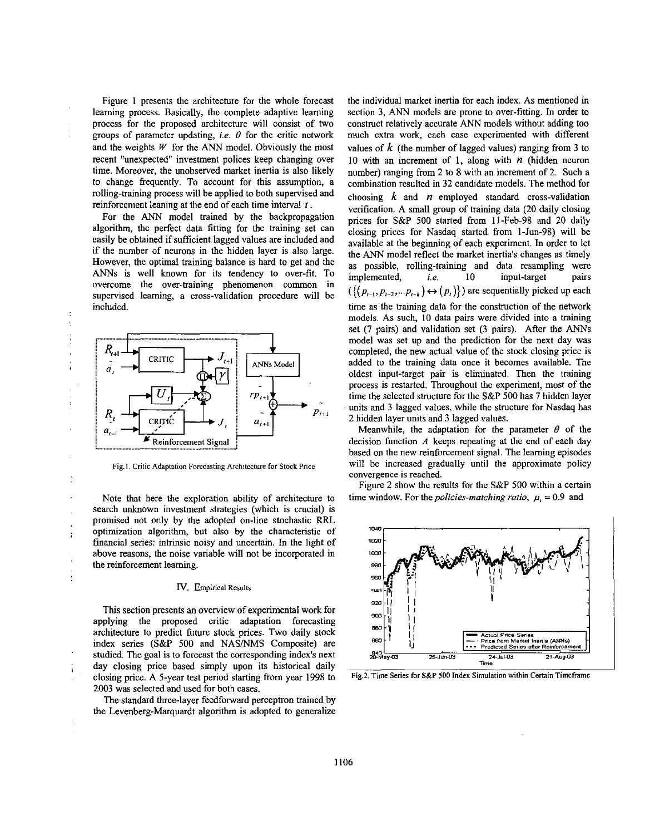Figure **1** presents the architecture for the whole forecast learning process. Basically, the complete adaptive learning process for the proposed architecture will consist of two groups of parameter updating, *i.e.*  $\theta$  for the critic network and the weights *W'* for the ANN model. Obviously the most recent "unexpected" investment polices keep changing over time. Moreover, the unobserved market inertia is also likely to change frequently. To account for this assumption, a rolling-training process will be applied to both supervised and reinforcement leaning at the end of each time interval *1.* 

For the *ANN* model trained by the backpropagation algorithm, the perfect data fitting for the training set can easily be obtained if sufficient lagged values are included and if the number of neurons in the hidden layer is also large. However, the optimal training balance is hard to get and the ANNs is well known for its tendency to over-fit. To overcome the over-training phenomenon common in supervised learning, a cross-validation procedure will he included.

À



Fig. 1. Critic Adaptation Forecasting Architecture for Stock Price

Note that here the exploration ability of architecture **to**  search unknown investment strategies (which is crucial) is promised not only by the adopted on-line stochastic FXL optimization algorithm, hut also by the characteristic of financial series: intrinsic noisy and uncertain. In the light of above reasons, the noise variable will not be incorporated in the reinforcement leaming.

#### **IV.** Empirical Results

This section presents an overview of experimental work for applying the proposed critic adaptation forecasting architecture to predict future stock prices. Two daily stock index series (S&P 500 and NASNMS Composite) are studied. The goal is to forecast the corresponding index's next day closing price based simply upon its historical daily closing price. A 5-year test period starting from year 1998 to **2003** was selected and used for both cases.

The standard three-layer feedforward perceptron trained by the Levenberg-Marquardt algorithm is adopted to generalize

the individual market inertia for each index. As mentioned in section **3,** ANN models are prone to over-fitting. In order to construct relatively accurate *ANN* models without adding too much extra work, each case experimented with different values of *k* (the number of lagged values) ranging from **3** to 10 with an increment of **1,** along with *n* (hidden neuron number) ranging from **2** to **8** with an increment of 2. Such a combination resulted in **32** candidate models. The method for choosing *k* and *n* employed standard cross-validation verification. A small group of training data **(20** daily closing prices for S&P 500 started from 11-Feh-98 and 20 daily closing prices for Nasdaq started from 1-Jun-98) will he available at the beginning of each experiment. In order to let the ANN model reflect the market inertia's changes **as** timely as possible, rolling-training and data resampling were implemented, *i.e.* 10 input-target pairs implemented, i.e. 10 input-target pairs  $({\{(p_{i-1}, p_{i-2}, \ldots p_{i-k}) \leftrightarrow (p_i)\}})$  are sequentially picked up each time as the training data for the construction of the network models. **As** such, 10 data pairs were divided into a training set (7 pairs) and validation set **(3** pairs). After the ANNs model was set up and the prediction for the next day was completed, the new actual value of the stock closing price is added to the training data once it becomes available. The oldest input-target pair **is** eliminated. Then the training process is restarted. Throughout the experiment, most of the time the selected structure for the S&P 500 has 7 hidden layer units and **3** lagged values, while the structure for Nasdaq has **2** hidden layer units and **3** lagged values.

Meanwhile, the adaptation for the parameter  $\theta$  of the decision function *A* keeps repeating at the end of each day based on the new reinforcement signal. The learning episodes will be increased gradually until the approximate policy convergence is reached.

Figure 2 show the results for the S&P **500** within a certain time window. For the *policies-matching ratio*,  $\mu_i = 0.9$  and



**Fig.2. Time Serics far S&P 500 Index Simulation within Certain Timeframe**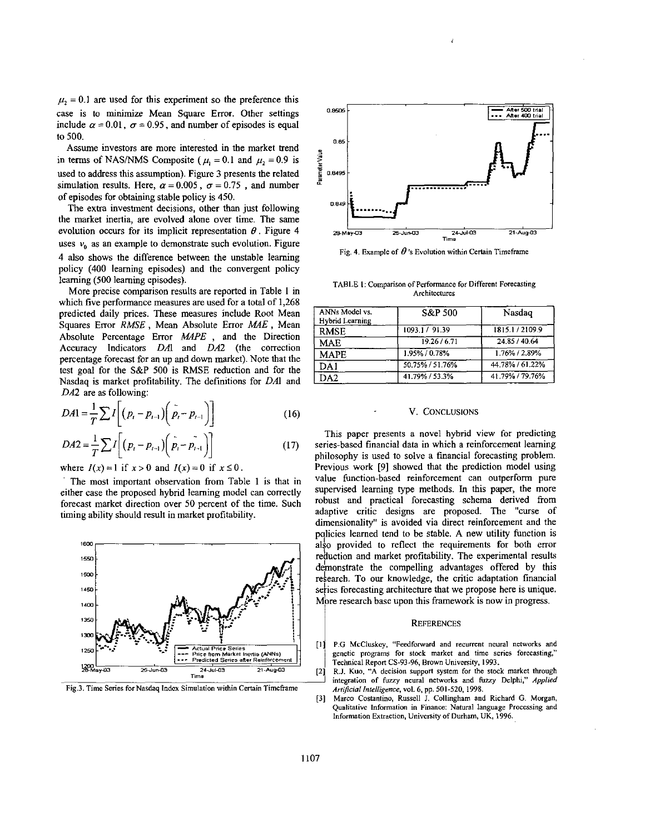$\mu_2$  = 0.1 are used for this experiment so the preference this case is to minimize Mean Square Error. Other settings include  $\alpha = 0.01$ ,  $\sigma = 0.95$ , and number of episodes is equal to 500.

Assume investors are more interested in the market trend in terms of NAS/NMS Composite ( $\mu$ <sub>1</sub> = 0.1 and  $\mu$ <sub>1</sub> = 0.9 is used to address this assumption). Figure 3 presents the related simulation results. Here,  $\alpha = 0.005$ ,  $\sigma = 0.75$ , and number of episodes for obtaining stable policy is 450.

The extra investment decisions, other than just following the market inertia, are evolved alone over time. The same evolution occurs for its implicit representation  $\theta$ . Figure 4 uses  $v_0$  as an example to demonstrate such evolution. Figure 4 also shows the difference between the unstable learning policy (400 learning episodes) and the convergent policy learning (500 learning episodes).

More precise comparison results are reported in Table I in which five performance measures are used for a total of 1,268 predicted daily prices. These measures include Root Mean Squares Error RMSE, Mean Absolute Error MAE, Mean Absolute Percentage Error *MAPE*, and the Direction Accuracy Indicators *DAl* and *DA2* (the correction percentage forecast for an up and down market). Note that the test goal for the S&P 500 is RMSE reduction and for the Nasdaq is market profitability. The definitions for *DAl* and *DA2* are as followine:

$$
DA1 = \frac{1}{T} \sum I \left[ (p_t - p_{t-1}) \left( \rho_t - p_{t-1} \right) \right]
$$
 (16)

$$
DA2 = \frac{1}{T} \sum I \left[ \left( p_t - p_{t-1} \right) \left( \tilde{p}_t - \tilde{p_{t-1}} \right) \right]
$$
 (17)

where  $I(x) = 1$  if  $x > 0$  and  $I(x) = 0$  if  $x \le 0$ .

The most important observation from Table **1** is that in either case the proposed hybrid learning model can correctly forecast market direction over 50 percent of the time. Such timing ability should result in market profitability.



**Fig.3. Timc Scnes for Nasdaq Index Simulation within Certain Timeframe** 



Fig. 4. Example of  $\theta$ 's Evolution within Certain Timeframe

**TABLE 1: Comparison of Performance for Different Forecasting Archiecures** 

| ANNs Model vs.<br>Hybrid Learning | S&P 500         | Nasdaq          |
|-----------------------------------|-----------------|-----------------|
| <b>RMSE</b>                       | 1093.1 / 91.39  | 1815.1/2109.9   |
| MAE                               | 19.26 / 6.71    | 24.85 / 40.64   |
| MAPE                              | 1.95% / 0.78%   | 1.76% / 2.89%   |
| DA 1                              | 50.75% / 51.76% | 44.78% / 61.22% |
| DA2                               | 41.79% / 53.3%  | 41.79% / 79.76% |

# V. CONCLUSIONS

This paper presents a novel hybrid view for predicting series-based financial data in which a reinforcement learning philosophy is used to solve a financial forecasting problem. Previous work [9] showed that the prediction model using value function-based reinforcement can outperform pure supervised learning type methods. In this paper, the more robust and practical forecasting schema derived from adaptive critic designs are proposed. The "curse of dimensionality" is avoided via direct reinforcement and the policies learned tend to be stable. A new utility function is also provided to reflect the requirements for both error reduction and market profitability. The experimental results demonstrate the compelling advantages offered by this research. To our knowledge, the critic adaptation financial series forecasting architecture that we propose here is unique. More research base upon this framework is now in progress.

### **REFERENCES**

- **[I: P.G McCluskey, "Feedfoward and recurrent neural networks and genetic programs for stock market and time scries forccasting,"**  Technical Report CS-93-96, Brown University, 1993.
- [2] R.J. Kuo, "A decision support system for the stock market through integration of fuzzy neural networks and fuzzy Delphi," Applied *A~t~~i~II"I~IIi~~"~~,* **vol.** *6,* **pp. 501-520, 1998.**
- **Marca Costantino, Russell** J. **Collingham and Richard G. Morgan, Qualitative Information in Finance: Natural languagc Proccssing and Information Extraction, University of Durham, UK, 1996. [3]**